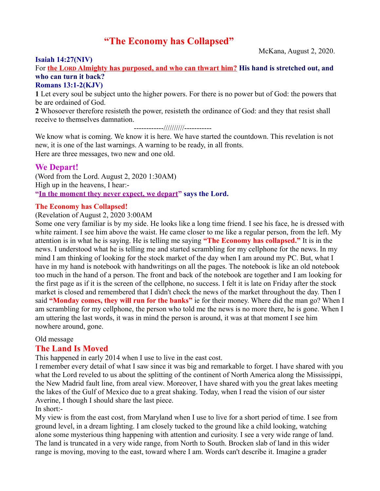# **"The Economy has Collapsed"**

#### **Isaiah 14:27(NIV)**

McKana, August 2, 2020.

For **the LORD Almighty has purposed, and who can thwart him? His hand is stretched out, and who can turn it back?**

### **Romans 13:1-2(KJV)**

**1** Let every soul be subject unto the higher powers. For there is no power but of God: the powers that be are ordained of God.

**2** Whosoever therefore resisteth the power, resisteth the ordinance of God: and they that resist shall receive to themselves damnation.

------------//////////-----------

We know what is coming. We know it is here. We have started the countdown. This revelation is not new, it is one of the last warnings. A warning to be ready, in all fronts. Here are three messages, two new and one old.

## **We Depart!**

(Word from the Lord. August 2, 2020 1:30AM) High up in the heavens, I hear:- **"In the moment they never expect, we depart" says the Lord.**

## **The Economy has Collapsed!**

#### (Revelation of August 2, 2020 3:00AM

Some one very familiar is by my side. He looks like a long time friend. I see his face, he is dressed with white raiment. I see him above the waist. He came closer to me like a regular person, from the left. My attention is in what he is saying. He is telling me saying **"The Economy has collapsed."** It is in the news. I understood what he is telling me and started scrambling for my cellphone for the news. In my mind I am thinking of looking for the stock market of the day when I am around my PC. But, what I have in my hand is notebook with handwritings on all the pages. The notebook is like an old notebook too much in the hand of a person. The front and back of the notebook are together and I am looking for the first page as if it is the screen of the cellphone, no success. I felt it is late on Friday after the stock market is closed and remembered that I didn't check the news of the market throughout the day. Then I said **"Monday comes, they will run for the banks"** ie for their money. Where did the man go? When I am scrambling for my cellphone, the person who told me the news is no more there, he is gone. When I am uttering the last words, it was in mind the person is around, it was at that moment I see him nowhere around, gone.

#### Old message

#### **The Land Is Moved**

This happened in early 2014 when I use to live in the east cost.

I remember every detail of what I saw since it was big and remarkable to forget. I have shared with you what the Lord reveled to us about the splitting of the continent of North America along the Mississippi, the New Madrid fault line, from areal view. Moreover, I have shared with you the great lakes meeting the lakes of the Gulf of Mexico due to a great shaking. Today, when I read the vision of our sister Averine, I though I should share the last piece.

## In short:-

My view is from the east cost, from Maryland when I use to live for a short period of time. I see from ground level, in a dream lighting. I am closely tucked to the ground like a child looking, watching alone some mysterious thing happening with attention and curiosity. I see a very wide range of land. The land is truncated in a very wide range, from North to South. Brocken slab of land in this wider range is moving, moving to the east, toward where I am. Words can't describe it. Imagine a grader